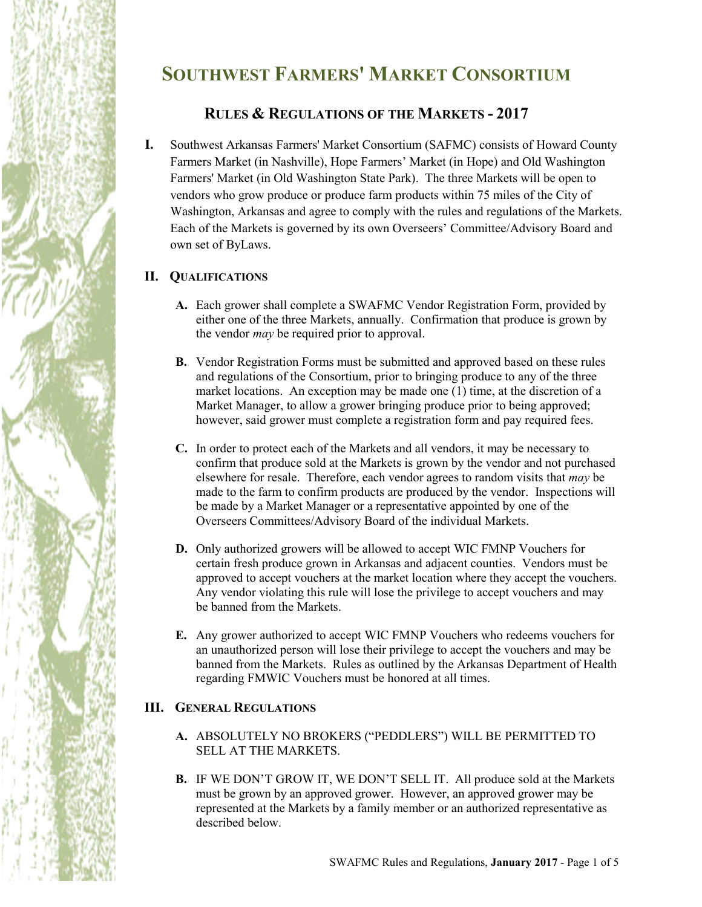# **SOUTHWEST FARMERS' MARKET CONSORTIUM**

# **RULES & REGULATIONS OF THE MARKETS - 2017**

**I.** Southwest Arkansas Farmers' Market Consortium (SAFMC) consists of Howard County Farmers Market (in Nashville), Hope Farmers' Market (in Hope) and Old Washington Farmers' Market (in Old Washington State Park). The three Markets will be open to vendors who grow produce or produce farm products within 75 miles of the City of Washington, Arkansas and agree to comply with the rules and regulations of the Markets. Each of the Markets is governed by its own Overseers' Committee/Advisory Board and own set of ByLaws.

# **II. QUALIFICATIONS**

- **A.** Each grower shall complete a SWAFMC Vendor Registration Form, provided by either one of the three Markets, annually. Confirmation that produce is grown by the vendor *may* be required prior to approval.
- **B.** Vendor Registration Forms must be submitted and approved based on these rules and regulations of the Consortium, prior to bringing produce to any of the three market locations. An exception may be made one (1) time, at the discretion of a Market Manager, to allow a grower bringing produce prior to being approved; however, said grower must complete a registration form and pay required fees.
- **C.** In order to protect each of the Markets and all vendors, it may be necessary to confirm that produce sold at the Markets is grown by the vendor and not purchased elsewhere for resale. Therefore, each vendor agrees to random visits that *may* be made to the farm to confirm products are produced by the vendor. Inspections will be made by a Market Manager or a representative appointed by one of the Overseers Committees/Advisory Board of the individual Markets.
- **D.** Only authorized growers will be allowed to accept WIC FMNP Vouchers for certain fresh produce grown in Arkansas and adjacent counties. Vendors must be approved to accept vouchers at the market location where they accept the vouchers. Any vendor violating this rule will lose the privilege to accept vouchers and may be banned from the Markets.
- **E.** Any grower authorized to accept WIC FMNP Vouchers who redeems vouchers for an unauthorized person will lose their privilege to accept the vouchers and may be banned from the Markets. Rules as outlined by the Arkansas Department of Health regarding FMWIC Vouchers must be honored at all times.

### **III. GENERAL REGULATIONS**

- **A.** ABSOLUTELY NO BROKERS ("PEDDLERS") WILL BE PERMITTED TO SELL AT THE MARKETS.
- **B.** IF WE DON'T GROW IT, WE DON'T SELL IT. All produce sold at the Markets must be grown by an approved grower. However, an approved grower may be represented at the Markets by a family member or an authorized representative as described below.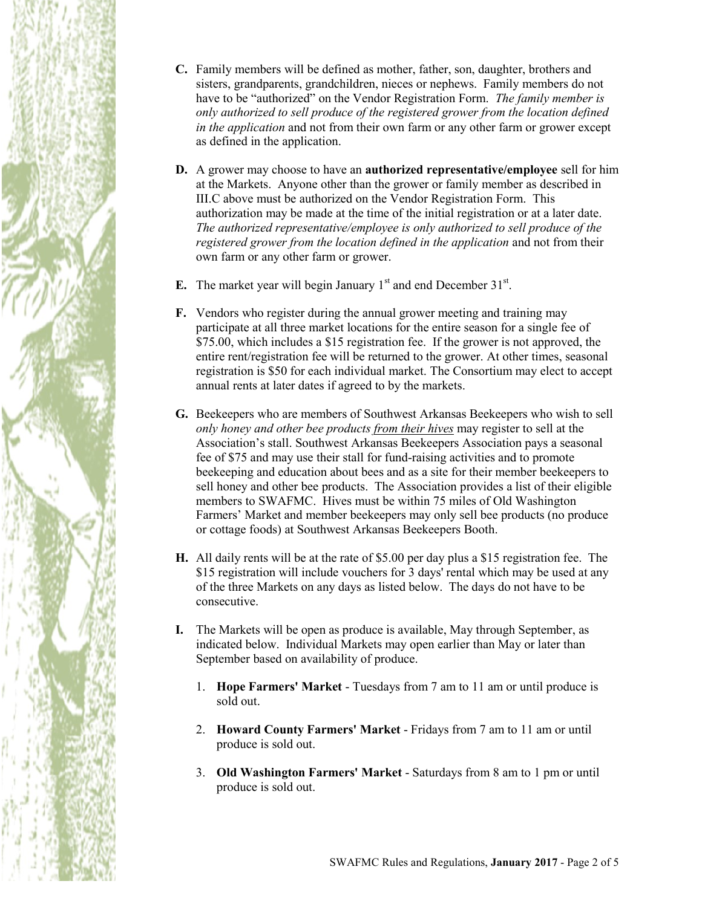

- **C.** Family members will be defined as mother, father, son, daughter, brothers and sisters, grandparents, grandchildren, nieces or nephews. Family members do not have to be "authorized" on the Vendor Registration Form. *The family member is only authorized to sell produce of the registered grower from the location defined in the application* and not from their own farm or any other farm or grower except as defined in the application.
- **D.** A grower may choose to have an **authorized representative/employee** sell for him at the Markets. Anyone other than the grower or family member as described in III.C above must be authorized on the Vendor Registration Form. This authorization may be made at the time of the initial registration or at a later date. *The authorized representative/employee is only authorized to sell produce of the registered grower from the location defined in the application* and not from their own farm or any other farm or grower.
- **E.** The market year will begin January  $1<sup>st</sup>$  and end December  $31<sup>st</sup>$ .
- **F.** Vendors who register during the annual grower meeting and training may participate at all three market locations for the entire season for a single fee of \$75.00, which includes a \$15 registration fee. If the grower is not approved, the entire rent/registration fee will be returned to the grower. At other times, seasonal registration is \$50 for each individual market. The Consortium may elect to accept annual rents at later dates if agreed to by the markets.
- **G.** Beekeepers who are members of Southwest Arkansas Beekeepers who wish to sell *only honey and other bee products from their hives* may register to sell at the Association's stall. Southwest Arkansas Beekeepers Association pays a seasonal fee of \$75 and may use their stall for fund-raising activities and to promote beekeeping and education about bees and as a site for their member beekeepers to sell honey and other bee products. The Association provides a list of their eligible members to SWAFMC. Hives must be within 75 miles of Old Washington Farmers' Market and member beekeepers may only sell bee products (no produce or cottage foods) at Southwest Arkansas Beekeepers Booth.
- **H.** All daily rents will be at the rate of \$5.00 per day plus a \$15 registration fee. The \$15 registration will include vouchers for 3 days' rental which may be used at any of the three Markets on any days as listed below. The days do not have to be consecutive.
- **I.** The Markets will be open as produce is available, May through September, as indicated below. Individual Markets may open earlier than May or later than September based on availability of produce.
	- 1. **Hope Farmers' Market** Tuesdays from 7 am to 11 am or until produce is sold out.
	- 2. **Howard County Farmers' Market** Fridays from 7 am to 11 am or until produce is sold out.
	- 3. **Old Washington Farmers' Market** Saturdays from 8 am to 1 pm or until produce is sold out.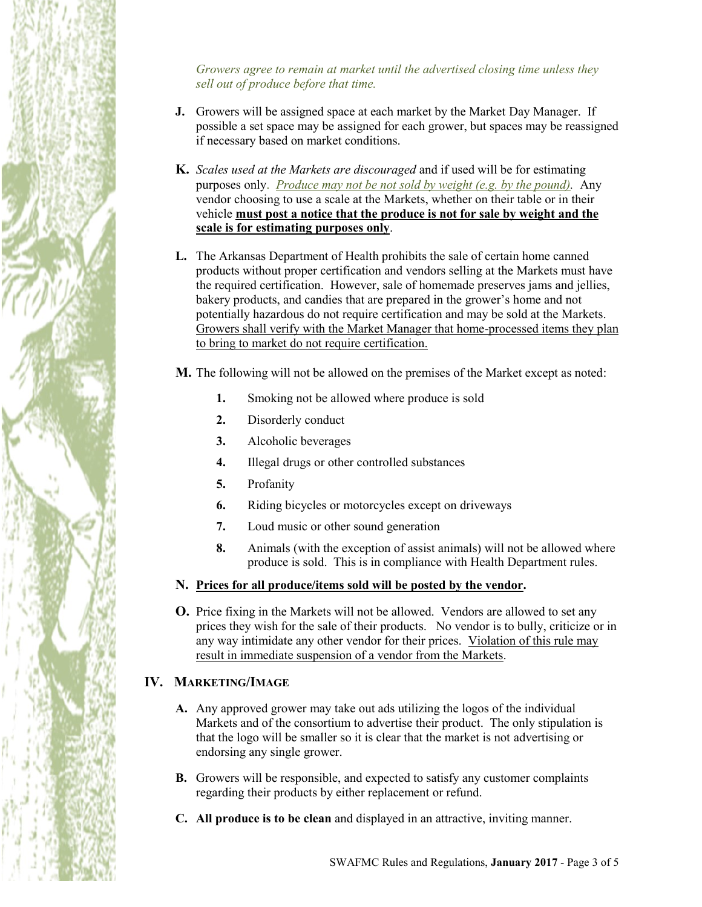*Growers agree to remain at market until the advertised closing time unless they sell out of produce before that time.*

- **J.** Growers will be assigned space at each market by the Market Day Manager. If possible a set space may be assigned for each grower, but spaces may be reassigned if necessary based on market conditions.
- **K.** *Scales used at the Markets are discouraged* and if used will be for estimating purposes only. *Produce may not be not sold by weight (e.g. by the pound).* Any vendor choosing to use a scale at the Markets, whether on their table or in their vehicle **must post a notice that the produce is not for sale by weight and the scale is for estimating purposes only**.
- **L.** The Arkansas Department of Health prohibits the sale of certain home canned products without proper certification and vendors selling at the Markets must have the required certification. However, sale of homemade preserves jams and jellies, bakery products, and candies that are prepared in the grower's home and not potentially hazardous do not require certification and may be sold at the Markets. Growers shall verify with the Market Manager that home-processed items they plan to bring to market do not require certification.

**M.** The following will not be allowed on the premises of the Market except as noted:

- **1.** Smoking not be allowed where produce is sold
- **2.** Disorderly conduct
- **3.** Alcoholic beverages
- **4.** Illegal drugs or other controlled substances
- **5.** Profanity
- **6.** Riding bicycles or motorcycles except on driveways
- **7.** Loud music or other sound generation
- **8.** Animals (with the exception of assist animals) will not be allowed where produce is sold. This is in compliance with Health Department rules.
- **N. Prices for all produce/items sold will be posted by the vendor.**
- **O.** Price fixing in the Markets will not be allowed. Vendors are allowed to set any prices they wish for the sale of their products. No vendor is to bully, criticize or in any way intimidate any other vendor for their prices. Violation of this rule may result in immediate suspension of a vendor from the Markets.

# **IV. MARKETING/IMAGE**

- **A.** Any approved grower may take out ads utilizing the logos of the individual Markets and of the consortium to advertise their product. The only stipulation is that the logo will be smaller so it is clear that the market is not advertising or endorsing any single grower.
- **B.** Growers will be responsible, and expected to satisfy any customer complaints regarding their products by either replacement or refund.
- **C. All produce is to be clean** and displayed in an attractive, inviting manner.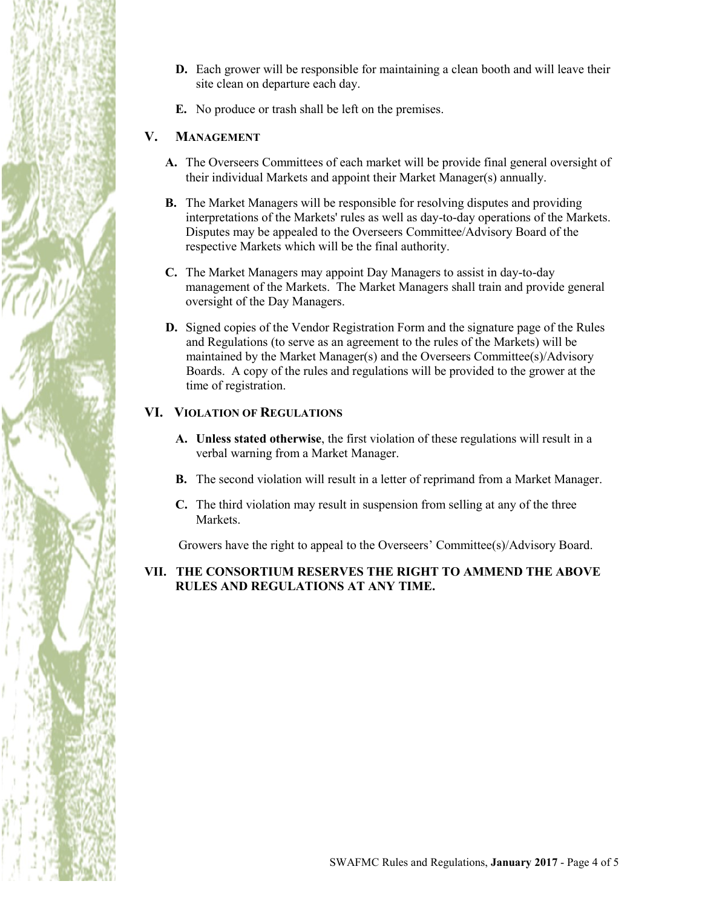- **D.** Each grower will be responsible for maintaining a clean booth and will leave their site clean on departure each day.
- **E.** No produce or trash shall be left on the premises.

#### **V. MANAGEMENT**

- **A.** The Overseers Committees of each market will be provide final general oversight of their individual Markets and appoint their Market Manager(s) annually.
- **B.** The Market Managers will be responsible for resolving disputes and providing interpretations of the Markets' rules as well as day-to-day operations of the Markets. Disputes may be appealed to the Overseers Committee/Advisory Board of the respective Markets which will be the final authority.
- **C.** The Market Managers may appoint Day Managers to assist in day-to-day management of the Markets. The Market Managers shall train and provide general oversight of the Day Managers.
- **D.** Signed copies of the Vendor Registration Form and the signature page of the Rules and Regulations (to serve as an agreement to the rules of the Markets) will be maintained by the Market Manager(s) and the Overseers Committee(s)/Advisory Boards. A copy of the rules and regulations will be provided to the grower at the time of registration.

#### **VI. VIOLATION OF REGULATIONS**

- **A. Unless stated otherwise**, the first violation of these regulations will result in a verbal warning from a Market Manager.
- **B.** The second violation will result in a letter of reprimand from a Market Manager.
- **C.** The third violation may result in suspension from selling at any of the three Markets.

Growers have the right to appeal to the Overseers' Committee(s)/Advisory Board.

#### **VII. THE CONSORTIUM RESERVES THE RIGHT TO AMMEND THE ABOVE RULES AND REGULATIONS AT ANY TIME.**